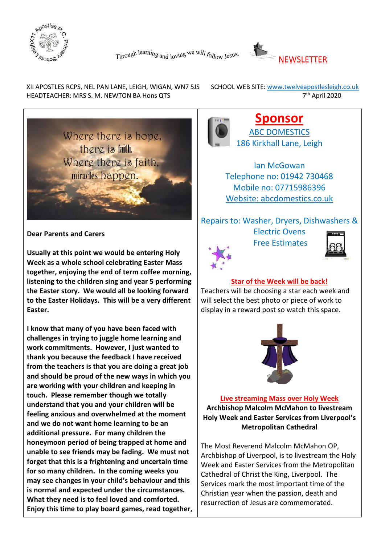



XII APOSTLES RCPS, NEL PAN LANE, LEIGH, WIGAN, WN7 5JS SCHOOL WEB SITE: www.twelveapostlesleigh.co.uk HEADTEACHER: MRS S. M. NEWTON BA Hons QTS 7<sup>th</sup> April 2020



**Dear Parents and Carers**

**Usually at this point we would be entering Holy Week as a whole school celebrating Easter Mass together, enjoying the end of term coffee morning, listening to the children sing and year 5 performing the Easter story. We would all be looking forward to the Easter Holidays. This will be a very different Easter.** 

**I know that many of you have been faced with challenges in trying to juggle home learning and work commitments. However, I just wanted to thank you because the feedback I have received from the teachers is that you are doing a great job and should be proud of the new ways in which you are working with your children and keeping in touch. Please remember though we totally understand that you and your children will be feeling anxious and overwhelmed at the moment and we do not want home learning to be an additional pressure. For many children the honeymoon period of being trapped at home and unable to see friends may be fading. We must not forget that this is a frightening and uncertain time for so many children. In the coming weeks you may see changes in your child's behaviour and this is normal and expected under the circumstances. What they need is to feel loved and comforted. Enjoy this time to play board games, read together,**



**Sponsor** ABC DOMESTICS 186 Kirkhall Lane, Leigh

Ian McGowan Telephone no: 01942 730468 Mobile no: 07715986396 Website: abcdomestics.co.uk

## Repairs to: Washer, Dryers, Dishwashers &

Electric Ovens Free Estimates





#### **Star of the Week will be back!**

Teachers will be choosing a star each week and will select the best photo or piece of work to display in a reward post so watch this space.



**Live streaming Mass over Holy Week Archbishop Malcolm McMahon to livestream Holy Week and Easter Services from Liverpool's Metropolitan Cathedral**

The Most Reverend Malcolm McMahon OP, Archbishop of Liverpool, is to livestream the Holy Week and Easter Services from the Metropolitan Cathedral of Christ the King, Liverpool. The Services mark the most important time of the Christian year when the passion, death and resurrection of Jesus are commemorated.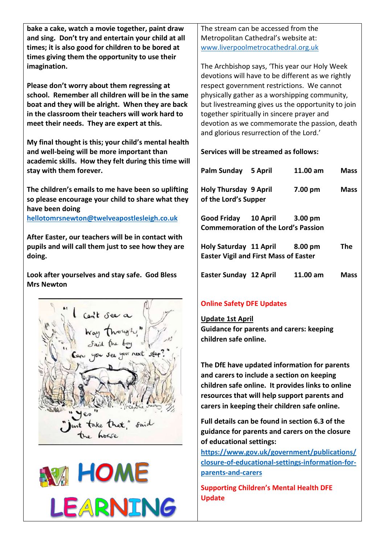**bake a cake, watch a movie together, paint draw and sing. Don't try and entertain your child at all times; it is also good for children to be bored at times giving them the opportunity to use their imagination.** 

**Please don't worry about them regressing at school. Remember all children will be in the same boat and they will be alright. When they are back in the classroom their teachers will work hard to meet their needs. They are expert at this.** 

**My final thought is this; your child's mental health and well-being will be more important than academic skills. How they felt during this time will stay with them forever.**

**The children's emails to me have been so uplifting so please encourage your child to share what they have been doing hellotomrsnewton@twelveapostlesleigh.co.uk**

**After Easter, our teachers will be in contact with pupils and will call them just to see how they are doing.**

**Look after yourselves and stay safe. God Bless Mrs Newton** 





The stream can be accessed from the Metropolitan Cathedral's website at: [www.liverpoolmetrocathedral.org.uk](http://www.liverpoolmetrocathedral.org.uk/)

The Archbishop says, 'This year our Holy Week devotions will have to be different as we rightly respect government restrictions. We cannot physically gather as a worshipping community, but livestreaming gives us the opportunity to join together spiritually in sincere prayer and devotion as we commemorate the passion, death and glorious resurrection of the Lord.'

**Services will be streamed as follows:**

| Palm Sunday                                                            | 5 April | 11.00 am           | Mass |
|------------------------------------------------------------------------|---------|--------------------|------|
| <b>Holy Thursday 9 April</b><br>of the Lord's Supper                   |         | 7.00 pm            | Mass |
| Good Friday 10 April<br><b>Commemoration of the Lord's Passion</b>     |         | 3.00 <sub>pm</sub> |      |
| Holy Saturday 11 April<br><b>Easter Vigil and First Mass of Easter</b> |         | 8.00 pm            | The  |
| <b>Easter Sunday 12 April</b>                                          |         | 11.00 am           | Mass |

# **Online Safety DFE Updates**

**Update 1st April Guidance for parents and carers: keeping children safe online.**

**The DfE have updated information for parents and carers to include a section on keeping children safe online. It provides links to online resources that will help support parents and carers in keeping their children safe online.**

**Full details can be found in section 6.3 of the guidance for parents and carers on the closure of educational settings:**

**[https://www.gov.uk/government/publications/](https://www.gov.uk/government/publications/closure-of-educational-settings-information-for-parents-and-carers) [closure-of-educational-settings-information-for](https://www.gov.uk/government/publications/closure-of-educational-settings-information-for-parents-and-carers)[parents-and-carers](https://www.gov.uk/government/publications/closure-of-educational-settings-information-for-parents-and-carers)**

**Supporting Children's Mental Health DFE Update**